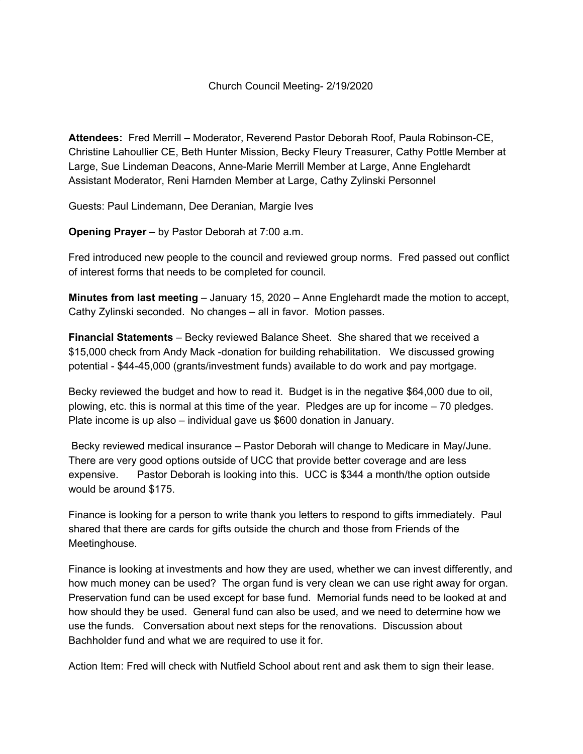**Attendees:** Fred Merrill – Moderator, Reverend Pastor Deborah Roof, Paula Robinson-CE, Christine Lahoullier CE, Beth Hunter Mission, Becky Fleury Treasurer, Cathy Pottle Member at Large, Sue Lindeman Deacons, Anne-Marie Merrill Member at Large, Anne Englehardt Assistant Moderator, Reni Harnden Member at Large, Cathy Zylinski Personnel

Guests: Paul Lindemann, Dee Deranian, Margie Ives

**Opening Prayer** – by Pastor Deborah at 7:00 a.m.

Fred introduced new people to the council and reviewed group norms. Fred passed out conflict of interest forms that needs to be completed for council.

**Minutes from last meeting** – January 15, 2020 – Anne Englehardt made the motion to accept, Cathy Zylinski seconded. No changes – all in favor. Motion passes.

**Financial Statements** – Becky reviewed Balance Sheet. She shared that we received a \$15,000 check from Andy Mack -donation for building rehabilitation. We discussed growing potential - \$44-45,000 (grants/investment funds) available to do work and pay mortgage.

Becky reviewed the budget and how to read it. Budget is in the negative \$64,000 due to oil, plowing, etc. this is normal at this time of the year. Pledges are up for income – 70 pledges. Plate income is up also – individual gave us \$600 donation in January.

Becky reviewed medical insurance – Pastor Deborah will change to Medicare in May/June. There are very good options outside of UCC that provide better coverage and are less expensive. Pastor Deborah is looking into this. UCC is \$344 a month/the option outside would be around \$175.

Finance is looking for a person to write thank you letters to respond to gifts immediately. Paul shared that there are cards for gifts outside the church and those from Friends of the Meetinghouse.

Finance is looking at investments and how they are used, whether we can invest differently, and how much money can be used? The organ fund is very clean we can use right away for organ. Preservation fund can be used except for base fund. Memorial funds need to be looked at and how should they be used. General fund can also be used, and we need to determine how we use the funds. Conversation about next steps for the renovations. Discussion about Bachholder fund and what we are required to use it for.

Action Item: Fred will check with Nutfield School about rent and ask them to sign their lease.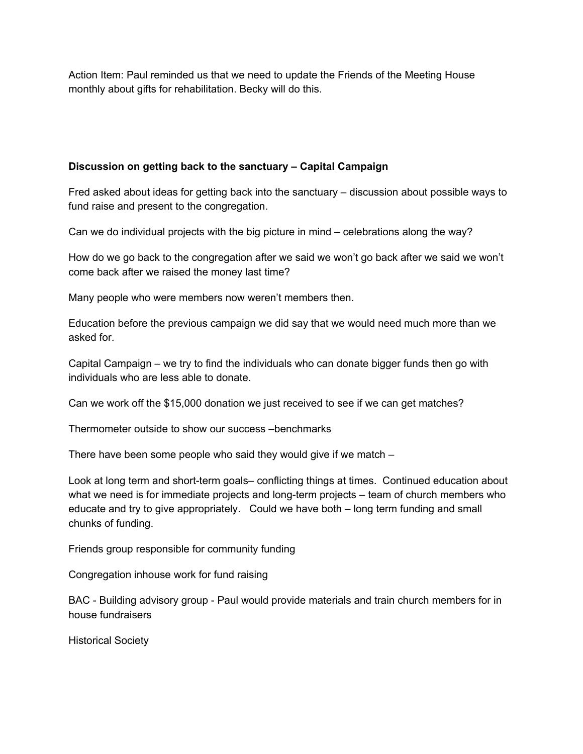Action Item: Paul reminded us that we need to update the Friends of the Meeting House monthly about gifts for rehabilitation. Becky will do this.

## **Discussion on getting back to the sanctuary – Capital Campaign**

Fred asked about ideas for getting back into the sanctuary – discussion about possible ways to fund raise and present to the congregation.

Can we do individual projects with the big picture in mind – celebrations along the way?

How do we go back to the congregation after we said we won't go back after we said we won't come back after we raised the money last time?

Many people who were members now weren't members then.

Education before the previous campaign we did say that we would need much more than we asked for.

Capital Campaign – we try to find the individuals who can donate bigger funds then go with individuals who are less able to donate.

Can we work off the \$15,000 donation we just received to see if we can get matches?

Thermometer outside to show our success –benchmarks

There have been some people who said they would give if we match –

Look at long term and short-term goals– conflicting things at times. Continued education about what we need is for immediate projects and long-term projects – team of church members who educate and try to give appropriately. Could we have both – long term funding and small chunks of funding.

Friends group responsible for community funding

Congregation inhouse work for fund raising

BAC - Building advisory group - Paul would provide materials and train church members for in house fundraisers

Historical Society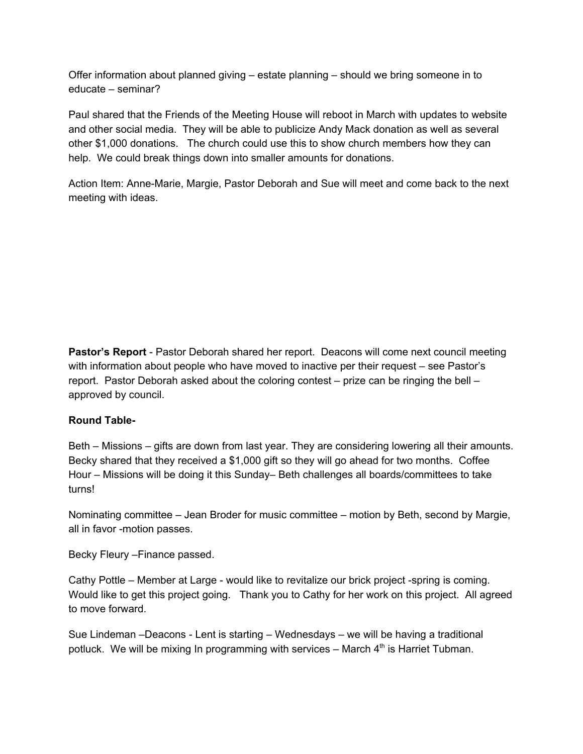Offer information about planned giving – estate planning – should we bring someone in to educate – seminar?

Paul shared that the Friends of the Meeting House will reboot in March with updates to website and other social media. They will be able to publicize Andy Mack donation as well as several other \$1,000 donations. The church could use this to show church members how they can help. We could break things down into smaller amounts for donations.

Action Item: Anne-Marie, Margie, Pastor Deborah and Sue will meet and come back to the next meeting with ideas.

**Pastor's Report** - Pastor Deborah shared her report. Deacons will come next council meeting with information about people who have moved to inactive per their request – see Pastor's report. Pastor Deborah asked about the coloring contest – prize can be ringing the bell – approved by council.

## **Round Table-**

Beth – Missions – gifts are down from last year. They are considering lowering all their amounts. Becky shared that they received a \$1,000 gift so they will go ahead for two months. Coffee Hour – Missions will be doing it this Sunday– Beth challenges all boards/committees to take turns!

Nominating committee – Jean Broder for music committee – motion by Beth, second by Margie, all in favor -motion passes.

Becky Fleury –Finance passed.

Cathy Pottle – Member at Large - would like to revitalize our brick project -spring is coming. Would like to get this project going. Thank you to Cathy for her work on this project. All agreed to move forward.

Sue Lindeman –Deacons - Lent is starting – Wednesdays – we will be having a traditional potluck. We will be mixing In programming with services  $-$  March  $4<sup>th</sup>$  is Harriet Tubman.